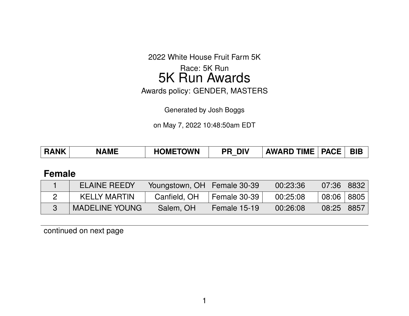2022 White House Fruit Farm 5K

Race: 5K Run 5K Run Awards

Awards policy: GENDER, MASTERS

Generated by Josh Boggs

on May 7, 2022 10:48:50am EDT

| <b>HOMETOWN</b><br><b>AWARD TIME   PACE  </b><br><b>RANK</b><br><b>DIV</b><br><b>NAME</b><br>PR |  |  | <b>BIE</b> |
|-------------------------------------------------------------------------------------------------|--|--|------------|
|-------------------------------------------------------------------------------------------------|--|--|------------|

## **Female**

| <b>ELAINE REEDY</b>   | Youngstown, OH   Female 30-39 |              | 00:23:36 | $\mid$ 07:36 $\mid$ | $\parallel$ 8832 |
|-----------------------|-------------------------------|--------------|----------|---------------------|------------------|
| <b>KELLY MARTIN</b>   | Canfield, OH                  | Female 30-39 | 00:25:08 | $08:06$   8805      |                  |
| <b>MADELINE YOUNG</b> | Salem, OH                     | Female 15-19 | 00:26:08 | $08:25$ 8857        |                  |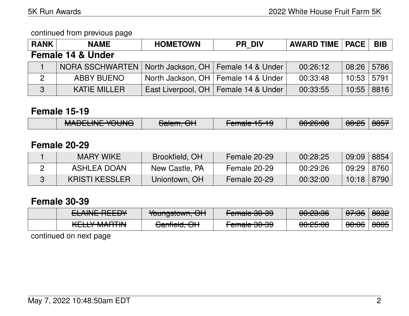#### continued from previous page

| <b>RANK</b>                  | <b>NAME</b>                                             | <b>HOMETOWN</b> | <b>PR DIV</b>                          | <b>AWARD TIME   PACE  </b> |       | <b>BIB</b> |  |  |
|------------------------------|---------------------------------------------------------|-----------------|----------------------------------------|----------------------------|-------|------------|--|--|
| <b>Female 14 &amp; Under</b> |                                                         |                 |                                        |                            |       |            |  |  |
|                              | NORA SSCHWARTEN   North Jackson, OH   Female 14 & Under |                 |                                        | 00:26:12                   | 08:26 | 5786       |  |  |
| $\overline{2}$               | <b>ABBY BUENO</b>                                       |                 | North Jackson, OH   Female 14 & Under  | 00:33:48                   | 10:53 | 5791       |  |  |
| 3                            | <b>KATIE MILLER</b>                                     |                 | East Liverpool, OH   Female 14 & Under | 00:33:55                   | 10:55 | 8816       |  |  |

### **Female 15-19**

| MANTI INIT VALINIA    | $C2$ $C2$ $C1$       | $\Gamma$ amala 4 $\Gamma$ 4 $\cap$ | 0.0033              | $\Omega$ . $\Omega$ | $\triangle$                                 |
|-----------------------|----------------------|------------------------------------|---------------------|---------------------|---------------------------------------------|
| <b>MADLLINL TOUNG</b> | <del>Jalem, Un</del> | <del>emaie Tu-Tu</del>             | <del>uu.zu.uu</del> | <u> 00.ZJ</u>       | $\overline{\mathtt{U}\mathtt{U}\mathtt{U}}$ |

## **Female 20-29**

| <b>MARY WIKE</b>      | Brookfield, OH | Female 20-29 | 00:28:25 | 09:09          | 8854 |
|-----------------------|----------------|--------------|----------|----------------|------|
| ASHLEA DOAN           | New Castle, PA | Female 20-29 | 00:29:26 | $09:29$   8760 |      |
| <b>KRISTI KESSLER</b> | Uniontown, OH  | Female 20-29 | 00:32:00 | 10:18          | 8790 |

## **Female 30-39**

| FLAINIE DEFINI                                                 | $\mathcal{L}_{\mathbf{a}}$      | $L$ amala 00.00            | 0.0000                                                    | <u>07.00</u>        | ഛഹ                |
|----------------------------------------------------------------|---------------------------------|----------------------------|-----------------------------------------------------------|---------------------|-------------------|
| CLAINE RECDT                                                   | <b>TUUTIYSIUWIT, UTT</b>        | <del>i cilialc ou-aa</del> | <del>00.20.00</del>                                       | ᠊ <del>ᠳ .ਗ਼</del>  | $\overline{U}$    |
| $I/\Gamma$ $I\ I$ $I$ $I\Lambda$ $I\Lambda$ $T$ $I\Lambda$ $I$ | $O_{\mathbf{a}}$ afialal $O(1)$ | $\Gamma$ anala 00.00       | $\bigcap \bigcap \bigcap \bigcap \bigcap \bigcap \bigcap$ | $\Omega$ . $\Omega$ | $\Omega$ $\Omega$ |
| INCLET MANUTE                                                  | <del>oanneiu. Ori</del>         | <del>i ciliale Ju-Ju</del> | <del>uu.co.uu</del>                                       | <del>oo.oo</del>    | 0000              |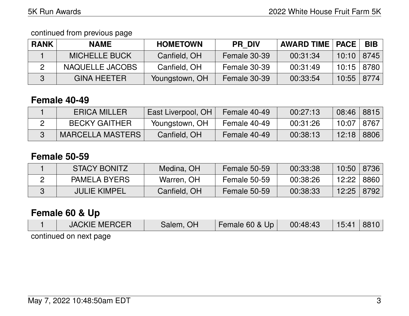continued from previous page

| <b>RANK</b> | <b>NAME</b>          | <b>HOMETOWN</b> | <b>PR DIV</b> | <b>AWARD TIME   PACE</b> |                | <b>BIB</b> |
|-------------|----------------------|-----------------|---------------|--------------------------|----------------|------------|
|             | <b>MICHELLE BUCK</b> | Canfield, OH    | Female 30-39  | 00:31:34                 | $10:10$   8745 |            |
|             | NAQUELLE JACOBS      | Canfield, OH    | Female 30-39  | 00:31:49                 | 10:15   8780   |            |
|             | <b>GINA HEETER</b>   | Youngstown, OH  | Female 30-39  | 00:33:54                 | $10:55$   8774 |            |

## **Female 40-49**

| <b>ERICA MILLER</b>     | East Liverpool, OH | Female 40-49 | 00:27:13 | 08:46   8815 |      |
|-------------------------|--------------------|--------------|----------|--------------|------|
| <b>BECKY GAITHER</b>    | Youngstown, OH     | Female 40-49 | 00:31:26 | 10:07   8767 |      |
| <b>MARCELLA MASTERS</b> | Canfield, OH       | Female 40-49 | 00:38:13 | 12:18        | 8806 |

### **Female 50-59**

| <b>STACY BONITZ</b> | Medina, OH   | Female 50-59 | 00:33:38 | 10:50 | 8736 |
|---------------------|--------------|--------------|----------|-------|------|
| <b>PAMELA BYERS</b> | Warren, OH   | Female 50-59 | 00:38:26 | 12:22 | 8860 |
| <b>JULIE KIMPEL</b> | Canfield, OH | Female 50-59 | 00:38:33 | 12:25 | 8792 |

## **Female 60 & Up**

| <b>JACKIE MERCER</b>   | Salem, OH | Female 60 & Up | 00:48:43 | 15:41 | 8810 |
|------------------------|-----------|----------------|----------|-------|------|
| continued on next nage |           |                |          |       |      |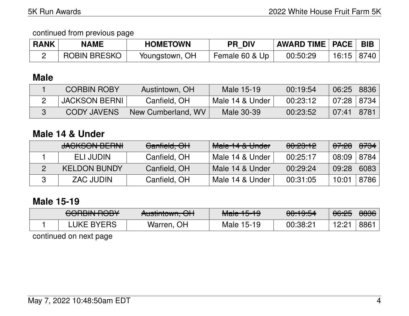### continued from previous page

| <b>RANK</b> | <b>NAME</b>         | <b>HOMETOWN</b> | <b>PR DIV</b>  | <b>AWARD TIME   PACE   BIB</b> |                |  |
|-------------|---------------------|-----------------|----------------|--------------------------------|----------------|--|
|             | <b>ROBIN BRESKO</b> | Youngstown, OH  | Female 60 & Up | 00:50:29                       | $16:15$   8740 |  |

## **Male**

| <b>CORBIN ROBY</b>   | Austintown, OH     | Male 15-19      | 00:19:54 | 06:25   8836 |  |
|----------------------|--------------------|-----------------|----------|--------------|--|
| <b>JACKSON BERNI</b> | Canfield, OH       | Male 14 & Under | 00:23:12 | 07:28   8734 |  |
| <b>CODY JAVENS</b>   | New Cumberland, WV | Male 30-39      | 00:23:52 | 07:41   8781 |  |

### **Male 14 & Under**

| <b>JACKSON BERNI</b> | Canfield, OH | Male 14 & Under | 00:23:12 | <del>07:28</del> | <del>8734</del> |
|----------------------|--------------|-----------------|----------|------------------|-----------------|
| ELI JUDIN            | Canfield, OH | Male 14 & Under | 00:25:17 | 08:09            | 8784            |
| <b>KELDON BUNDY</b>  | Canfield, OH | Male 14 & Under | 00:29:24 | 09:28            | 6083            |
| ZAC JUDIN            | Canfield, OH | Male 14 & Under | 00:31:05 | 10:01            | 8786            |

## **Male 15-19**

| CODDINI DODV<br><del>UUNIN KUUT</del> | Austintaum OLL<br><del>AUSINIUWII, UN</del> | $M2$ $\sim$ $1E$ $10$<br><del>Maic To To</del> | 0.10E1<br>$\overline{\mathtt{v}\mathtt{v}.\mathtt{v}\mathtt{v}}\cdot\overline{\mathtt{v}}$ | 06:25 | 8836 |
|---------------------------------------|---------------------------------------------|------------------------------------------------|--------------------------------------------------------------------------------------------|-------|------|
| ∟UKE BYERS                            | Warren, OH                                  | 15-19<br>Male                                  | 00:38:21                                                                                   | 10.01 | 886  |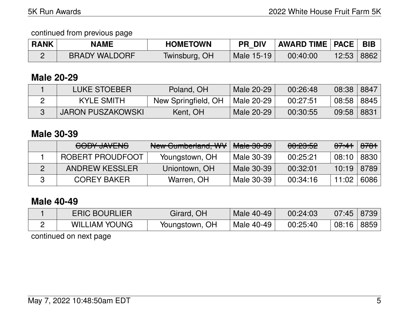### continued from previous page

| <b>RANK</b> | <b>NAME</b>          | <b>HOMETOWN</b> | <b>PR DIV</b> | <b>AWARD TIME   PACE   BIB</b> |       |      |
|-------------|----------------------|-----------------|---------------|--------------------------------|-------|------|
|             | <b>BRADY WALDORF</b> | Twinsburg, OH   | Male 15-19    | 00:40:00                       | 12:53 | 8862 |

### **Male 20-29**

| <b>LUKE STOEBER</b>      | Poland, OH          | Male 20-29 | 00:26:48 | 08:38 | 8847 |
|--------------------------|---------------------|------------|----------|-------|------|
| <b>KYLE SMITH</b>        | New Springfield, OH | Male 20-29 | 00:27:51 | 08:58 | 8845 |
| <b>JARON PUSZAKOWSKI</b> | Kent, OH            | Male 20-29 | 00:30:55 | 09:58 | 8831 |

### **Male 30-39**

| <b>CODY INVENC</b><br><del>UUU JAVLINJ</del> | New Cumberland, WV | <del>Male 30-39</del> | 00:23:52 | <del>07:41</del> | <del>8781</del> |
|----------------------------------------------|--------------------|-----------------------|----------|------------------|-----------------|
| ROBERT PROUDFOOT                             | Youngstown, OH     | Male 30-39            | 00:25:21 | 08:10            | 8830            |
| <b>ANDREW KESSLER</b>                        | Uniontown, OH      | Male 30-39            | 00:32:01 | $10:19$ 8789     |                 |
| <b>COREY BAKER</b>                           | Warren, OH         | Male 30-39            | 00:34:16 | 11:02            | 6086            |

### **Male 40-49**

| <b>ERIC BOURLIER</b> | Girard, OH     | Male 40-49 | 00:24:03 | 07:45 | 8739 |
|----------------------|----------------|------------|----------|-------|------|
| <b>WILLIAM YOUNG</b> | Youngstown, OH | Male 40-49 | 00:25:40 | 08:16 | 8859 |